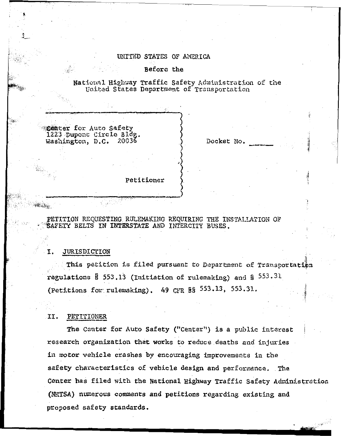# UNITED STATES OF AMERICA

## Before the

National Highway Traffic Safety Administration of the United States Department of Transportation

Center for Auto Safety 1223 Dupont Circle Bldg. Washington, D.C. 20036

Docket No.

Petitioner

# PETITION REQUESTING RULEMAKING REQUIRING THE INSTALLATION OF SAFETY BELTS IN INTERSTATE AND INTERCITY BUSES.

### I. **JURISDICTION**

This petition is filed pursuant to Department of Transportation regulations  $$553.13$  (Initiation of rulemaking) and  $$553.31$ (Petitions for rulemaking). 49 CFR  $\S$ §  $553.13$ ,  $553.31$ .

# II. PETITIONER

The Center for Auto Safety ("Center") is a public interest research organization that works to reduce deaths and injuries in motor vehicle crashes by encouraging improvements in the safety characteristics of vehicle design and performance. The Center has filed with the National Highway Traffic Safety Administration (NHTSA) numerous comments and petitions regarding existing and proposed safety standards.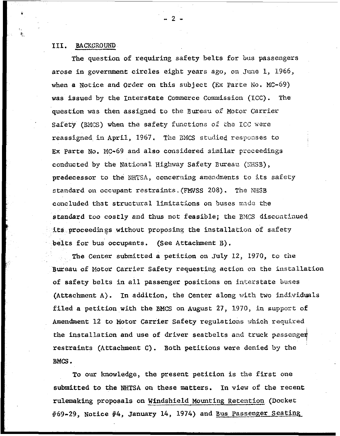# 111. **BACKGROUND**

The question of requiring safety belts for bus passengers arose in government circles eight years ago, on June 1, 1966, when a Notice and Order on this subject (EX Parte No. MC-69) was issued by the Interstate Commerce Commission (ICC). The question was then assigned to the Bureau of Motor Carrier Safety (BMfS) when the safety fmctions *05* he **ICC** %ere reassigned in April, 1967. The BMCS studied responses to Ex Parte No. MC-69 and also considered similar proceedings conducted by the National Highway Safety Bureau (NHSB), predecessor to the NHTSA, concerning amendments to its safety standard on occupant restraints. (FMVSS 208). The *NHSB* concluded that structural limitations on buses made the standard too costly and thus not feasible; the BMCS discontinued **its proceedings without proposing the installation of safety** belts for **bus** occupants. (See Attachment B).

**The** Center submitted a petition on **July** 12, 1970, to the **Bureau** of Hotor **Carrier** Safety requesting action **on** the installation *of* safety belts in a11 passenger positions on interstate **'oases**  (Attachment A). In addition, the Center along with two individuals filed a petition with the BMCS on August 27, 1970, in support of Amendment 12 to Motor Carrier Safety regulations which required the installation and use of driver seatbelts and truck passenger restraints (Attachment C). Both petitions were denied **by** *the*  **BMCS** .

**To** *om* knowledge, the present petition is the first one submitted to the **NHTSA** on these matters. In **view** of the recent rulemaking proposals on Windshield Mounting Retention (Docket #69-29, Notice #4, January 14, 1974) and Bus Passenger Seating

**-2-**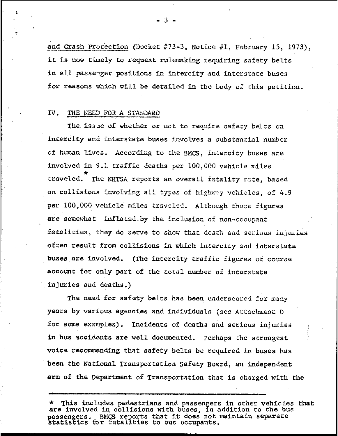and Crash Protection (Docket #73-3, Notice #1, February 15, 1973), it is now timely to request rulemaking requiring safety belts in all passenger positions in intercity and interstate buses for reasons which will be detailed in the body *of* this petition.

## *N.* THE **NEER FORA STANDARD**

The issue of whether or act *to* require safety belts on intercity and interstate buses involves a substantial number of human lives. According to the BMCS, intercity buses are involved in 9.1 traffic deaths per 100,000 vehicle miles traveled. The NHTSA reports an overall fatality rate, based on collisions involving all *types* of highway vehicles, of 4.9 per 100,000 vehicle miles traveled. Although these figures are somewhat inflated. by the inclusion **of** non-occupant fatalities, they do serve to show that death and serious injuries often result from collisions in which intercity and interstate buses are involved. (The intercity traffic figures of course account for only part of the total number of interstate injuries and deaths.)

The need for safety belts has been underscored for many years by various agencies and individuals (see Attachment D for some examples). Incidents of deaths and serious injuries in **bus** accidents are well documented. perhaps the strongest voice recornendjag that safety belts be required in **buses has**  been the National Transportation Safety Board, an independent **arm** of the Department of Transportation **that** is charged with the

l.

This includes pedestrians and passengers in other vehicles that passengers. statis **2** ics for fatalities to **bus** occupants. are involved in collisions with buses, in addition to the bus passengers. BMCS reports that it does not maintain separate

 $-3$ .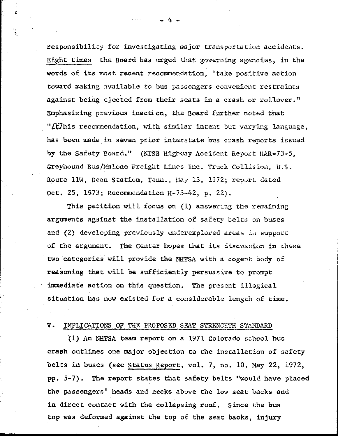responsibility for investigating major transportation accidents. Eight times the Board has urged that governing agencies, in the words of its most recent recommendation, "take positive action toward making available to bus passengers convenient restraints against being ejected **from** their seats in a crash **or** rol.lover." Fhpbsizing previous inaction, *the* Board further noted **that**  "*L*t/his recommendation, with similar intent but varying language, has been mads in seven prior intecstate **bur; crash reports issued**  by the Safety Board." (NTSB Highway Accident Report HAR-73-5, Greyhomd **Bus/IjaLone** Freight Lines Inc. **Truck Collision, U.S.**  Route 11W, Bean Station, Tenn., May 13, 1972; report dated Oct. 25, 1973; Rccomandation *E-73-42,* p. 22).

This petition will focus on (1) answering the remaining argumenfs against the installation **o€** *sa1cty* belt3 on **buses 326** (2) developing previously underexplored areas in support of the argument. The Center hopes that its discussion in these two categories will provide the NHTSA with a cogent body of reasoning that **will** be sufficiently perstmsive to prompt immediate action on this question. The present illogical situation **has** now existed for a considerable length of tima. reasoning that will be sufficiently persuasive to prompt<br>immediate action on this question. The present illogical<br>situation has now existed for a considerable length of ti<br>V. <u>IMPLICATIONS OF THE PROPOSED SEAT STRENGRTH ST</u>

## IMPLICATIONS OF THE PROPOSED SEAT STRENCHTH STANDARD

(1) **An hTTSA** team report on **a** 1971 **Colorado** school **bus**  crash outlines one major objection to the installation of safety **belts** in buses (see Status Report, **-301. 7, no. 19, my 22,** 1972, pp. 5-7). The report states that safety **belts** "would have **placed**  the passengers' **heads** and necks above the **low** seat backs and in direct contact with **the** collapsing roof. Since the bus top **was** deformed against the top of the seat backs, injury

**Δ**.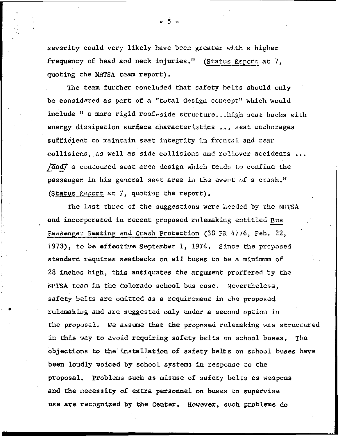severity could very likely have been greater with a higher frequency of head and neck injuries." (Status Report at 7, quoting the NHTSA team report).

The team further concluded that safety belts should only be considered as part of a "total design concept" which would include " a more rigid roof-side structure... high seat backs with energy dissipation surface characteristics ... seat anchorages sufficient to maintain seat integrity in frontal and rear collisions, as well as side collisions and rollover accidents ... /and/ a contoured seat area design which tends to confine the passenger in his general seat area in the event of a crash." (Status Report at 7, quoting the report).

The last three of the suggestions were heeded by the NHTSA and incorporated in recent proposed rulemaking entitled Bus Passenger Seating and Crash Protection (38 FR 4776, Feb. 22, 1973), to be effective September 1, 1974. Since the proposed standard requires seatbacks on all buses to be a minimum of 28 inches high, this antiquates the argument proffered by the NHTSA team in the Colorado school bus case. Nevertheless, safety belts are omitted as a requirement in the proposed rulemaking and are suggested only under a second option in the proposal. We assume that the proposed rulemaking was structured in this way to avoid requiring safety belts on school buses. The objections to the installation of safety belts on school buses have been loudly voiced by school systems in response to the proposal. Problems such as misuse of safety belts as weapons and the necessity of extra personnel on buses to supervise use are recognized by the Center. However, such problems do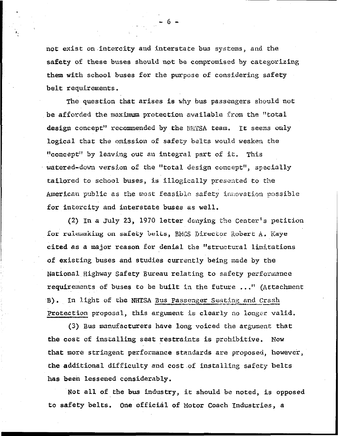not exist on intercity and interstate bus systems, and the safety of these buses should not be compromised by categorizing them with school buses for the purpose of considering safety belt requirements.

The question that arises is why bus passengers should not be afforded the maximum protection available from the "total design concept" recommended by the NHTSA team. It seems only logical that the omission of safety belts would weaken the "concept" by leaving out an integral part of it. This watered-down version of the "total design concept", specially tailored to school buses, is illogically presented to the American public as the most feasible safety innovation possible for intercity and interstate buses as well.

(2) In a July 23, 1970 letter denying the Center's petition for rulemaking on safety belts, BMCS Director Robert A. Kaye cited as a major reason for denial the "structural limitations of existing buses and studies currently being made by the National Highway Safety Bureau relating to safety performance requirements of buses to be built in the future ..." (Attachment B). In light of the NHTSA Bus Passenger Seating and Crash Protection proposal, this argument is clearly no longer valid.

(3) Bus manufacturers have long voiced the argument that the cost of installing seat restraints is prohibitive. Now that more stringent performance standards are proposed, however, the additional difficulty and cost of installing safety belts has been lessened considerably.

Not all of the bus industry, it should be noted, is opposed to safety belts. One official of Motor Coach Industries, a

. 6 .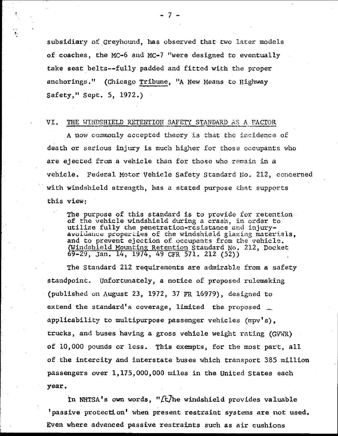subsidiary of Greyhound, **has** observed that two later models of coaches, the MC-6 and MC-7 "were designed to eventually take seat belts--fully padded and fitted with the proper anchorings **.'I** (Chicago Tribune, **"A** New Means to Highway Safety," **Sept.** 5, 1972.)

# VI. THE WINDSHIELD RETENTION SAFETY STANDARD AS A FACTOR

**<sup>A</sup>**now comiooly accepted **theory** is thdt **thc** incidence of death or serious injury is much higher for those occupants who are ejected from a vehicle than for those who remain in a vehicle. Federal Motor Vehicle Safety Standard No. 212, concerned with windshield strength, **has** a stated purpose that supports this view:

The purpose of this standard is to provide for retention. *of* **the** vehicle windshield during **a** crash, in order *Co*  utilize fully the penetration-resistance and injuryavoidance properties of the windshield glazing materials, and to prevent ejection of occupants from the vehicle. shield Mounting Retention Standard No. 212, Docket 69-29, Jan. 14, 1974, 49 CFR 571. 212 (52))

The Standard 212 requirements are admirable from a safety standpoint. Unfortunately, a notice of proposed rulemaking (published on **August: 23, 1972, 37** FR *16979),* desiped to extend the standard's coverage, limited the proposed applicability to multipurpose passenger vehicles **(mpv's)** , trucks, and buses having a gross vehicle weight rating *(GVWR)* of 10,000 **pounds** or **less.** This exempts, for the most part, all of the intercity and interstate buses which transport 385 million passengers over 1,175,000,000 miles in the United States each **year** 

In NHTSA's own words, "*[t]*he windshield provides valuable 'passive protection' when present restraint systems are not used. Even where advanced passive restraints such as air cushions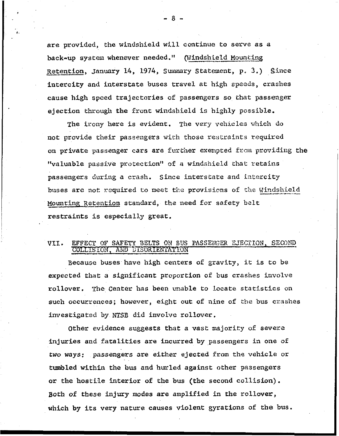are provided, the windshield will continue to serve as **a**  are provided, the windshield will continue to serve<br>back-up system whenever needed." (Windshield Mounti Retention, January 14, 1974, Summary Statement, p. 3.) Since intercity and interstate buses travel at high speeds, crashes cause high speed trajectories of passengers **so** that passenger ejection **through** the front windshield is highly possible.

The irony here is evident. The very vehicles which do not Frovide their passengers **with those** restraints required on private passenger **cars** are further **exexpted frciil** proviling the "valuable passive protection" of a windshield that retains passengers during a crash. Since interstate and intercity **bases** are **not** required *to* **meet** *the* provisions **of the** Windshield **\_\_-.,\_I.-**  Mounting Retention standard, the need for safety belt restraints is especially great.

### EFFECT OF SAFETY BELTS ON BUS PASSENGER EJECTION, SECOND VII. COLLISION, AND DISORIENTATION

Because **buses** have high centers of gravity, it **is** to **be**  expected that a significant proportion *of* bus crashes involve rollover. **rhe** Center has been umble to Locate statistics on such occurrences; however, eight out of nine of the bus crashes investigated by **KFSB** did involve rollover.

Other evidence suggests that a vast majority of severe injuries and fatalities are incurred **by** passengers in one of two ways: passengers are either ejected from the vehicle or tumbled within the **bus and** hurled against other passengers or the hostile interior **of** the **bus** (the second collision). *Both* of **these** injury modes are amplified in **the** rollover, which **by** its very nature causes violent *gyrations* of the **bus.** 

-8-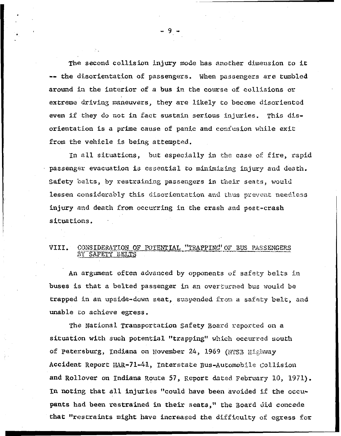**The** second collision injury **node** has another dimension to it -- the disorientation of passengers. When passengers **are** tmbled around in the interior of a bus in the course of collisions or extreme driving maneuvers, they are likely to become disoriented even if they do not in fact sustain serious injuries. This disorientation is **a prime** *eawe* of **pankc** and cocfesion **wliilo** exit from the vehiele *is* being attempted.

In all situations, but especially in the case of fire, rapid passenger evacuation is essential to minimizing injury and death. Safety belts, by restraining passengers in their seats, would lessen considerably this disorientation and thus prevent needless injury and death from occurring in the crash and post-crash situations.

### CONSIDERATION OF POTENTIAL "TRAPPING" OF BUS PASSENGERS VIII. BY SAFETY BELTS

An argument often advanced by opponents of safety belts in buses is that a belted passenger in an overturned bus would be trapped in an upside-down seat, suspended from a safety belt, and unable to achieve egress.

**The** National Transportation safety Board **reported** on *<sup>A</sup>* situation with such potential "trapping" which occurred south of petersbuzg, **Indiana** on November *24,* 1969 (tqrs3 Highway Accident Report *HAR-71-41*, Interstate Bus-Automobile Collision and Rollover on Indiana Route 57, Report dated February 10, 1971). **In** noting that all injwries **"could have** been avoided **if** the **occupants** had been restrained in their **seats,"** the Board did concede that "restraints might have increased the difficulty of egress for

*-9-*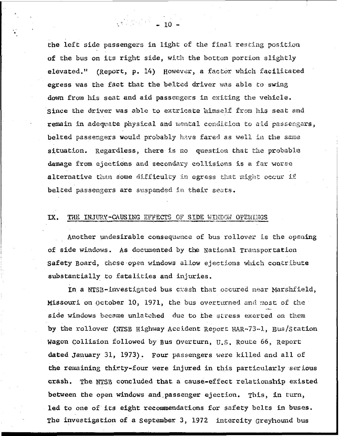the left side passengers in light of the final resting position of the bus on its right side, with the bottom portion slightly elevated." (Report, p. 14) However, a factor which facilitated egress was the fact that the belted driver was able to swing down from his seat and aid passengers in exiting the vehicle. since the driver was able to extricate himself from his seat and remain in adequate physical and mental condition to aid passengers, belted passengers would probably have fared as well in the same situation. Regardless, there is no question that the probable damage from ejections and secondary collisions is a far worse alternative than some difficulty in egress that might occur if belted passengers are suspended in their seats.

#### IX. THE INJURY-CAUSING EFFECTS OF SIDE WINDOW OPENINGS

Another undesirable consequence of bus rollover is the opening of side windows. As documented by the National Transportation Safety Board, these open windows allow ejections which contribute substantially to fatalities and injuries.

In a NTSB-investigated bus crash that occured near Marshfield, Missouri on October 10, 1971, the bus overturned and most of the side windows became unlatched due to the stress exerted on them by the rollover (NTSB Highway Accident Report HAR-73-1, Bus/Station Wagon Collision followed by Bus Overturn, U.S. Route 66, Report dated January 31, 1973). Four passengers were killed and all of the remaining thirty-four were injured in this particularly serious crash. The NTSB concluded that a cause-effect relationship existed between the open windows and passenger ejection. This, in turn, led to one of its eight recommendations for safety belts in buses. The investigation of a September 3, 1972 intercity Greyhound bus

 $\frac{1}{2}$  10  $\frac{1}{2}$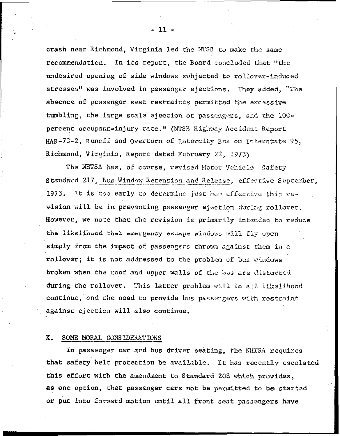crash near Richmond, Virginia led the NTSB to make the same recommendation. In its report, the Board concluded that "the undesired opening of side windows subjected to rollover-induced stresses" was involved in passenger ejections. They added, "The absence of passenger seat restraints permitted the excessive tumbling, the large scale ejection of passengers, and the 100percent occupant-injury rate." (NISB Highway Accident Report HAR-73-2, Runoff and Overturn of Intercity Bus on Interstate 95, Richmond, Virginia, Report dated February 22, 1973)

The NHTSA has, of course, revised Motor Vehicle Safety Standard 217, Bus Window Retention and Release, effective September, 1973. It is too early to determine just how effective this new vision will be in preventing passenger ejection during rollover. However, we note that the revision is primarily intended to reduce the likelihood that emergency escape windows will fly open simply from the impact of passengers thrown against them in a rollover; it is not addressed to the problem of bus windows broken when the roof and upper walls of the bus are distorted during the rollover. This latter problem will in all likelihood continue, and the need to provide bus passengers with restraint against ejection will also continue.

### SOME MORAL CONSIDERATIONS X.

In passenger car and bus driver seating, the NHTSA requires that safety belt protection be available. It has recently escalated this effort with the amendment to Standard 208 which provides, as one option, that passenger cars not be permitted to be started or put into forward motion until all front seat passengers have

 $-11 -$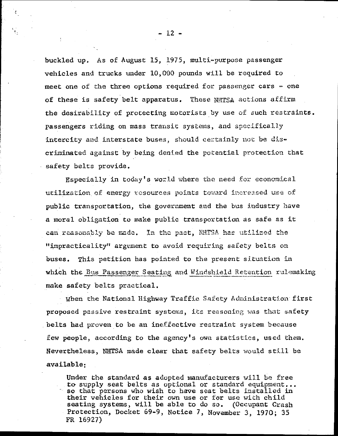buckled up. As of August 15, 1975, multi-purpose passenger vehicles and trucks under 10,000 pounds will be required to meet one of the three options required for passenger cars - one of these is safety belt apparatus. These NHTSA actions affirm the desirability of protecting motorists by use of such restraints. passengers riding on mass transit systems, and specifically intercity and interstate buses, should certainly not be discriminated against by being denied the potential protection that safety belts provide.

Especially in today's world where the need for economical utilization of energy resources points toward increased use of public transportation, the government and the bus industry have a moral obligation to make public transportation as safe as it can reasonably be made. In the past, NHTSA has utilized the "impracticality" argument to avoid requiring safety belts on buses. This petition has pointed to the present situation in which the Bus Passenger Seating and Windshield Retention rulemaking make safety belts practical.

When the National Highway Traffic Safety Administration first proposed passive restraint systems, its reasoning was that safety belts had proven to be an ineffective restraint system because few people, according to the agency's own statistics, used them. Nevertheless, NHTSA made clear that safety belts would still be available.

Under the standard as adopted manufacturers will be free to supply seat belts as optional or standard equipment... so that persons who wish to have seat belts installed in their vehicles for their own use or for use with child seating systems, will be able to do so. (Occupant Crash Protection, Docket 69-9, Notice 7, November 3, 1970; 35 FR 16927)

 $-12 -$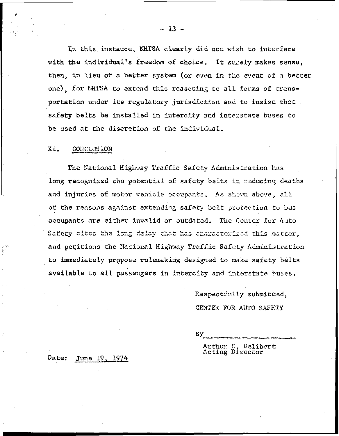In this instance, NHTSA clearly did not wish to interfere with the individual's freedom of choice. It surely makes sense, then, in lieu of a better system (or even in the event of a better one) for NHTSA to extend this reasoning to all forms of transportation under its regulatory jurisdiction and to insist that. safety belts be installed in intercity and interstate buses to be used at the discretion of the individual.

#### XI. **CONCLUSION**

W

The National Highway Traffic Safety Administration has long recognized the potential of safety belts in reducing deaths and injuries of motor vehicle occupants. As shown above, all of the reasons against extending safety belt protection to bus occupants are either invalid or outdated. The Center for Auto Safety cites the long delay that has characterized this matter, and petitions the National Highway Traffic Safety Administration to immediately propose rulemaking designed to make safety belts available to all passengers in intercity and interstate buses.

> Respectfully submitted, CENTER FOR AUTO SAFETY

Bу

Arthur C. Delibert<br>Acting Director

June 19, 1974 Date:

 $-13 -$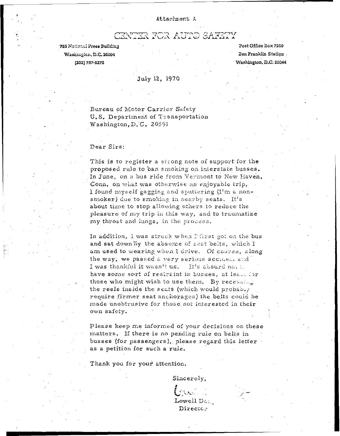### Attachment A

ENTER FOR AUTO SAFETY

759 National Press Building Washington, D.C. 20004 (202) 737-5272

Post Office Box 7250 Ben Franklin Station. Washington, D.C. 20044

### July 12, 1970

Bureau of Motor Carrier Safety U.S. Department of Transportation Washington, D.C. 20591

### Dear Sirs:

This is to register a strong note of support for the proposed rule to ban smoking on interstate busses. In June, on a bus ride from Vermont to New Haven, Conn, on what was otherwise an enjoyable trip, I found myself gagging and sputtering (I'm a nonsmoker) due to smoking in nearby seats. It's about time to stop allowing others to reduce the pleasure of my trip in this way, and to traumatize my throat and lungs, in the process.

In addition, I was struck when Ffirst got on the bus and sat down by the absence of seat belts, which I am used to wearing when I drive. Of course, along the way, we passed a very serious accident and I was thankful it wasn't us. It's absurd not to have some sort of restraint in busses, at least for those who might wish to use them. By recessing the reels inside the seats (which would probably require firmer seat anchorages) the belts could be made unobtrusive for those not interested in their own safety.

Please keep me informed of your decisions on these matters. If there is no pending rule on belts in busses (for passengers), please regard this letter as a petition for such a rule.

Thank you for your attention.

Sincerely,  ${\rm Lowell}\, {\mathbb D}$ can Director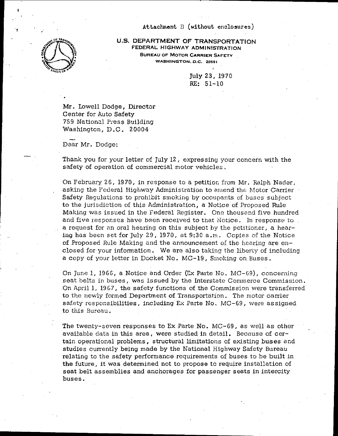### **Attachment** B **(without enclosures)**



,

**US. DEPARTMENT OF TRANSPORTATION FEDERAL HIGHWAY ADMINISTRATION BUREAU OF MOTOR CARRIER SAFETY WASHINGTON.** *D.C.* **20591** 

> July **23,** 1970 *RE:* 51-10

Mr. Lowell Dodge, Director Center for Auto Safety 759 National Press Building Washington, D.C. 20004

Dear Mr. Dodge:

Thank you for your letter of July 12, expressing your concern with the safety of operation of commercial motor vehicles,

On February 26, 1970, in response to a petition from Mr. Ralph Nader, asking the Federal Highway Administration to amend the Motor Carrier Safety Regulations to prohibit smoking by occupants of buses subject to the jurisdiction of this Administration, a Notice of Proposed Rule Making was issued in the Tederal Register. One thoussnd five hundred and five responses have been received to that Notice. In response to a request for an oral hearing on this subject by the petitioner, a hearing has been set for July 29, 1970, at **9:3C** a.m. Copies of the Notice of Proposed Rule Making and the announcement of the hearing are enclosed for your information. We are also taking the liberty of including a copy of your letter in Docket No. MC-19, Smoking on Buses.

On June 1, 1966, a Notice and Order (Ex Paite No. MC-69), concerning seat belts in buses, was issued by the Interstate Commerce Commission. On April 1, 1967, the safety functions of the Commission were transferred to the newly formed Department of Transportation. The motor carrier safety responsibilities, including **Ex** Parte No, MC-69, were assigned to this Bureau.

The twenty-seven responses to **Ex** Parte No. MC-69, as well as other available data in this area, were studied in detail. Because of certain operational problems, structural limitations **oi** existing buses and studies currently being made by the National Highway Safety Bureau relating to the safety performance requirements of buses to he built in the future, it was determined not to propose to require installation of seat belt assemblies and anchorages for passenger seats in intercity buses.